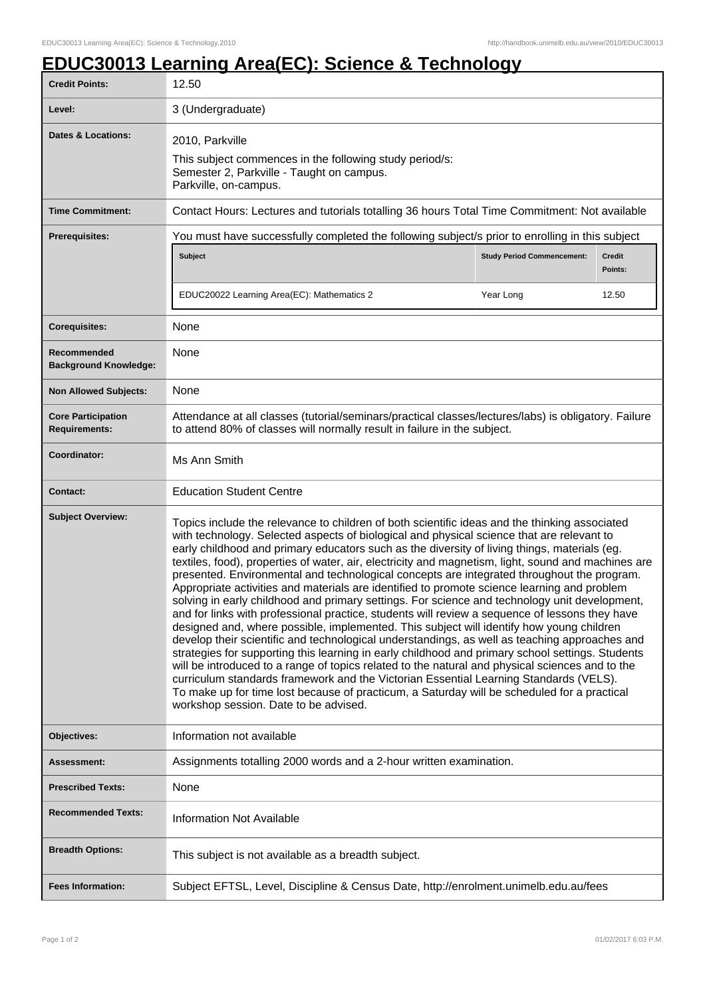## **EDUC30013 Learning Area(EC): Science & Technology**

| <b>Credit Points:</b>                             | 12.50                                                                                                                                                                                                                                                                                                                                                                                                                                                                                                                                                                                                                                                                                                                                                                                                                                                                                                                                                                                                                                                                                                                                                                                                                                                                                                                                                                                                                                  |                                   |                          |
|---------------------------------------------------|----------------------------------------------------------------------------------------------------------------------------------------------------------------------------------------------------------------------------------------------------------------------------------------------------------------------------------------------------------------------------------------------------------------------------------------------------------------------------------------------------------------------------------------------------------------------------------------------------------------------------------------------------------------------------------------------------------------------------------------------------------------------------------------------------------------------------------------------------------------------------------------------------------------------------------------------------------------------------------------------------------------------------------------------------------------------------------------------------------------------------------------------------------------------------------------------------------------------------------------------------------------------------------------------------------------------------------------------------------------------------------------------------------------------------------------|-----------------------------------|--------------------------|
| Level:                                            | 3 (Undergraduate)                                                                                                                                                                                                                                                                                                                                                                                                                                                                                                                                                                                                                                                                                                                                                                                                                                                                                                                                                                                                                                                                                                                                                                                                                                                                                                                                                                                                                      |                                   |                          |
| <b>Dates &amp; Locations:</b>                     | 2010, Parkville<br>This subject commences in the following study period/s:<br>Semester 2, Parkville - Taught on campus.<br>Parkville, on-campus.                                                                                                                                                                                                                                                                                                                                                                                                                                                                                                                                                                                                                                                                                                                                                                                                                                                                                                                                                                                                                                                                                                                                                                                                                                                                                       |                                   |                          |
| <b>Time Commitment:</b>                           | Contact Hours: Lectures and tutorials totalling 36 hours Total Time Commitment: Not available                                                                                                                                                                                                                                                                                                                                                                                                                                                                                                                                                                                                                                                                                                                                                                                                                                                                                                                                                                                                                                                                                                                                                                                                                                                                                                                                          |                                   |                          |
| <b>Prerequisites:</b>                             | You must have successfully completed the following subject/s prior to enrolling in this subject                                                                                                                                                                                                                                                                                                                                                                                                                                                                                                                                                                                                                                                                                                                                                                                                                                                                                                                                                                                                                                                                                                                                                                                                                                                                                                                                        |                                   |                          |
|                                                   | <b>Subject</b>                                                                                                                                                                                                                                                                                                                                                                                                                                                                                                                                                                                                                                                                                                                                                                                                                                                                                                                                                                                                                                                                                                                                                                                                                                                                                                                                                                                                                         | <b>Study Period Commencement:</b> | <b>Credit</b><br>Points: |
|                                                   | EDUC20022 Learning Area(EC): Mathematics 2                                                                                                                                                                                                                                                                                                                                                                                                                                                                                                                                                                                                                                                                                                                                                                                                                                                                                                                                                                                                                                                                                                                                                                                                                                                                                                                                                                                             | Year Long                         | 12.50                    |
| <b>Corequisites:</b>                              | None                                                                                                                                                                                                                                                                                                                                                                                                                                                                                                                                                                                                                                                                                                                                                                                                                                                                                                                                                                                                                                                                                                                                                                                                                                                                                                                                                                                                                                   |                                   |                          |
| Recommended<br><b>Background Knowledge:</b>       | None                                                                                                                                                                                                                                                                                                                                                                                                                                                                                                                                                                                                                                                                                                                                                                                                                                                                                                                                                                                                                                                                                                                                                                                                                                                                                                                                                                                                                                   |                                   |                          |
| <b>Non Allowed Subjects:</b>                      | None                                                                                                                                                                                                                                                                                                                                                                                                                                                                                                                                                                                                                                                                                                                                                                                                                                                                                                                                                                                                                                                                                                                                                                                                                                                                                                                                                                                                                                   |                                   |                          |
| <b>Core Participation</b><br><b>Requirements:</b> | Attendance at all classes (tutorial/seminars/practical classes/lectures/labs) is obligatory. Failure<br>to attend 80% of classes will normally result in failure in the subject.                                                                                                                                                                                                                                                                                                                                                                                                                                                                                                                                                                                                                                                                                                                                                                                                                                                                                                                                                                                                                                                                                                                                                                                                                                                       |                                   |                          |
| Coordinator:                                      | Ms Ann Smith                                                                                                                                                                                                                                                                                                                                                                                                                                                                                                                                                                                                                                                                                                                                                                                                                                                                                                                                                                                                                                                                                                                                                                                                                                                                                                                                                                                                                           |                                   |                          |
| <b>Contact:</b>                                   | <b>Education Student Centre</b>                                                                                                                                                                                                                                                                                                                                                                                                                                                                                                                                                                                                                                                                                                                                                                                                                                                                                                                                                                                                                                                                                                                                                                                                                                                                                                                                                                                                        |                                   |                          |
| <b>Subject Overview:</b>                          | Topics include the relevance to children of both scientific ideas and the thinking associated<br>with technology. Selected aspects of biological and physical science that are relevant to<br>early childhood and primary educators such as the diversity of living things, materials (eg.<br>textiles, food), properties of water, air, electricity and magnetism, light, sound and machines are<br>presented. Environmental and technological concepts are integrated throughout the program.<br>Appropriate activities and materials are identified to promote science learning and problem<br>solving in early childhood and primary settings. For science and technology unit development,<br>and for links with professional practice, students will review a sequence of lessons they have<br>designed and, where possible, implemented. This subject will identify how young children<br>develop their scientific and technological understandings, as well as teaching approaches and<br>strategies for supporting this learning in early childhood and primary school settings. Students<br>will be introduced to a range of topics related to the natural and physical sciences and to the<br>curriculum standards framework and the Victorian Essential Learning Standards (VELS).<br>To make up for time lost because of practicum, a Saturday will be scheduled for a practical<br>workshop session. Date to be advised. |                                   |                          |
| Objectives:                                       | Information not available                                                                                                                                                                                                                                                                                                                                                                                                                                                                                                                                                                                                                                                                                                                                                                                                                                                                                                                                                                                                                                                                                                                                                                                                                                                                                                                                                                                                              |                                   |                          |
| Assessment:                                       | Assignments totalling 2000 words and a 2-hour written examination.                                                                                                                                                                                                                                                                                                                                                                                                                                                                                                                                                                                                                                                                                                                                                                                                                                                                                                                                                                                                                                                                                                                                                                                                                                                                                                                                                                     |                                   |                          |
| <b>Prescribed Texts:</b>                          | None                                                                                                                                                                                                                                                                                                                                                                                                                                                                                                                                                                                                                                                                                                                                                                                                                                                                                                                                                                                                                                                                                                                                                                                                                                                                                                                                                                                                                                   |                                   |                          |
| <b>Recommended Texts:</b>                         | <b>Information Not Available</b>                                                                                                                                                                                                                                                                                                                                                                                                                                                                                                                                                                                                                                                                                                                                                                                                                                                                                                                                                                                                                                                                                                                                                                                                                                                                                                                                                                                                       |                                   |                          |
| <b>Breadth Options:</b>                           | This subject is not available as a breadth subject.                                                                                                                                                                                                                                                                                                                                                                                                                                                                                                                                                                                                                                                                                                                                                                                                                                                                                                                                                                                                                                                                                                                                                                                                                                                                                                                                                                                    |                                   |                          |
| <b>Fees Information:</b>                          | Subject EFTSL, Level, Discipline & Census Date, http://enrolment.unimelb.edu.au/fees                                                                                                                                                                                                                                                                                                                                                                                                                                                                                                                                                                                                                                                                                                                                                                                                                                                                                                                                                                                                                                                                                                                                                                                                                                                                                                                                                   |                                   |                          |